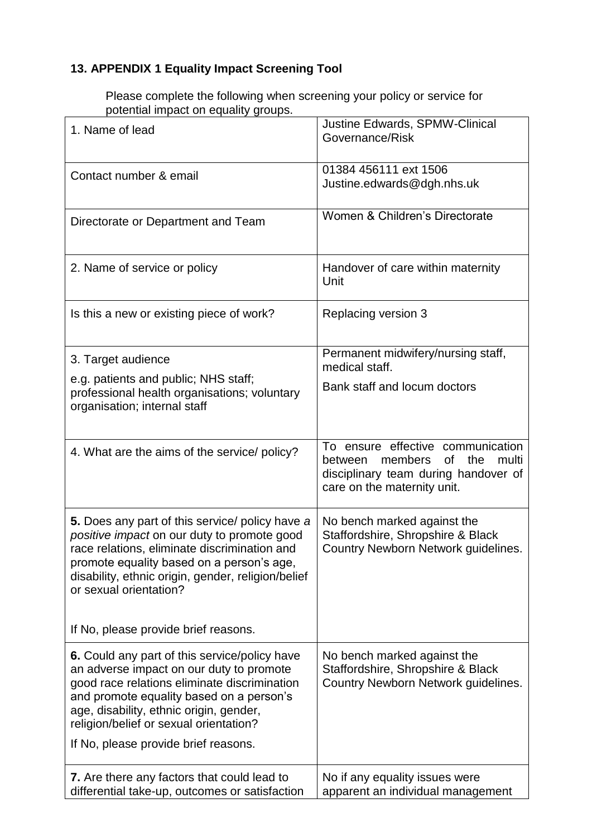## **13. APPENDIX 1 Equality Impact Screening Tool**

Please complete the following when screening your policy or service for potential impact on equality groups.

| 1. Name of lead                                                                                                                                                                                                                                                             | Justine Edwards, SPMW-Clinical<br>Governance/Risk                                                                                                           |
|-----------------------------------------------------------------------------------------------------------------------------------------------------------------------------------------------------------------------------------------------------------------------------|-------------------------------------------------------------------------------------------------------------------------------------------------------------|
| Contact number & email                                                                                                                                                                                                                                                      | 01384 456111 ext 1506<br>Justine.edwards@dgh.nhs.uk                                                                                                         |
| Directorate or Department and Team                                                                                                                                                                                                                                          | Women & Children's Directorate                                                                                                                              |
| 2. Name of service or policy                                                                                                                                                                                                                                                | Handover of care within maternity<br>Unit                                                                                                                   |
| Is this a new or existing piece of work?                                                                                                                                                                                                                                    | Replacing version 3                                                                                                                                         |
| 3. Target audience                                                                                                                                                                                                                                                          | Permanent midwifery/nursing staff,<br>medical staff.                                                                                                        |
| e.g. patients and public; NHS staff;<br>professional health organisations; voluntary<br>organisation; internal staff                                                                                                                                                        | Bank staff and locum doctors                                                                                                                                |
| 4. What are the aims of the service/ policy?                                                                                                                                                                                                                                | To ensure effective communication<br>members<br><b>of</b><br>the<br>multi<br>between<br>disciplinary team during handover of<br>care on the maternity unit. |
| 5. Does any part of this service/ policy have a<br>positive impact on our duty to promote good<br>race relations, eliminate discrimination and<br>promote equality based on a person's age,<br>disability, ethnic origin, gender, religion/belief<br>or sexual orientation? | No bench marked against the<br>Staffordshire, Shropshire & Black<br>Country Newborn Network guidelines.                                                     |
| If No, please provide brief reasons.                                                                                                                                                                                                                                        |                                                                                                                                                             |
| 6. Could any part of this service/policy have<br>an adverse impact on our duty to promote<br>good race relations eliminate discrimination<br>and promote equality based on a person's<br>age, disability, ethnic origin, gender,<br>religion/belief or sexual orientation?  | No bench marked against the<br>Staffordshire, Shropshire & Black<br>Country Newborn Network guidelines.                                                     |
| If No, please provide brief reasons.                                                                                                                                                                                                                                        |                                                                                                                                                             |
| 7. Are there any factors that could lead to<br>differential take-up, outcomes or satisfaction                                                                                                                                                                               | No if any equality issues were<br>apparent an individual management                                                                                         |